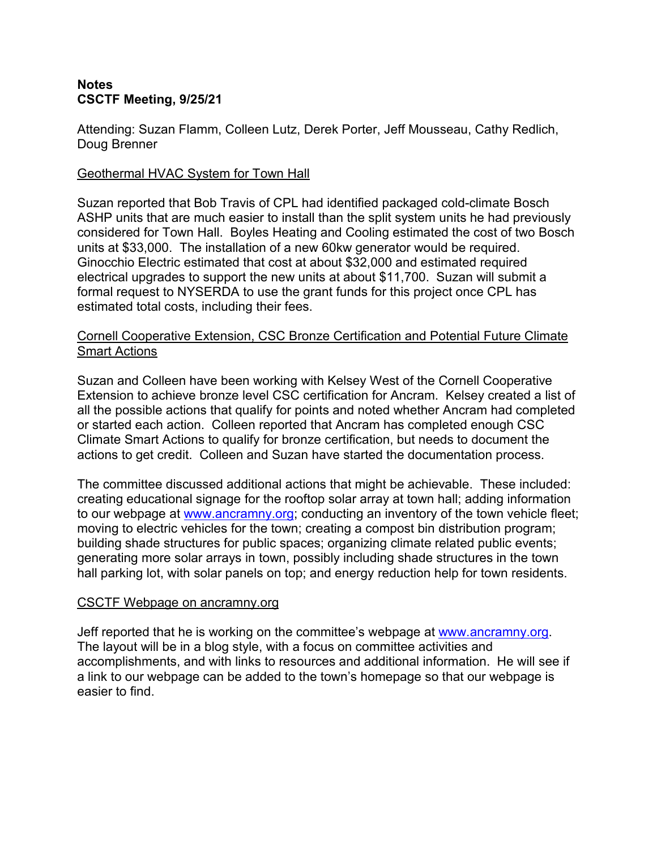# **Notes CSCTF Meeting, 9/25/21**

Attending: Suzan Flamm, Colleen Lutz, Derek Porter, Jeff Mousseau, Cathy Redlich, Doug Brenner

## Geothermal HVAC System for Town Hall

Suzan reported that Bob Travis of CPL had identified packaged cold-climate Bosch ASHP units that are much easier to install than the split system units he had previously considered for Town Hall. Boyles Heating and Cooling estimated the cost of two Bosch units at \$33,000. The installation of a new 60kw generator would be required. Ginocchio Electric estimated that cost at about \$32,000 and estimated required electrical upgrades to support the new units at about \$11,700. Suzan will submit a formal request to NYSERDA to use the grant funds for this project once CPL has estimated total costs, including their fees.

# Cornell Cooperative Extension, CSC Bronze Certification and Potential Future Climate Smart Actions

Suzan and Colleen have been working with Kelsey West of the Cornell Cooperative Extension to achieve bronze level CSC certification for Ancram. Kelsey created a list of all the possible actions that qualify for points and noted whether Ancram had completed or started each action. Colleen reported that Ancram has completed enough CSC Climate Smart Actions to qualify for bronze certification, but needs to document the actions to get credit. Colleen and Suzan have started the documentation process.

The committee discussed additional actions that might be achievable. These included: creating educational signage for the rooftop solar array at town hall; adding information to our webpage at [www.ancramny.org](http://www.ancramny.org); conducting an inventory of the town vehicle fleet; moving to electric vehicles for the town; creating a compost bin distribution program; building shade structures for public spaces; organizing climate related public events; generating more solar arrays in town, possibly including shade structures in the town hall parking lot, with solar panels on top; and energy reduction help for town residents.

#### CSCTF Webpage on ancramny.org

Jeff reported that he is working on the committee's webpage at [www.ancramny.org.](http://www.ancramny.org) The layout will be in a blog style, with a focus on committee activities and accomplishments, and with links to resources and additional information. He will see if a link to our webpage can be added to the town's homepage so that our webpage is easier to find.